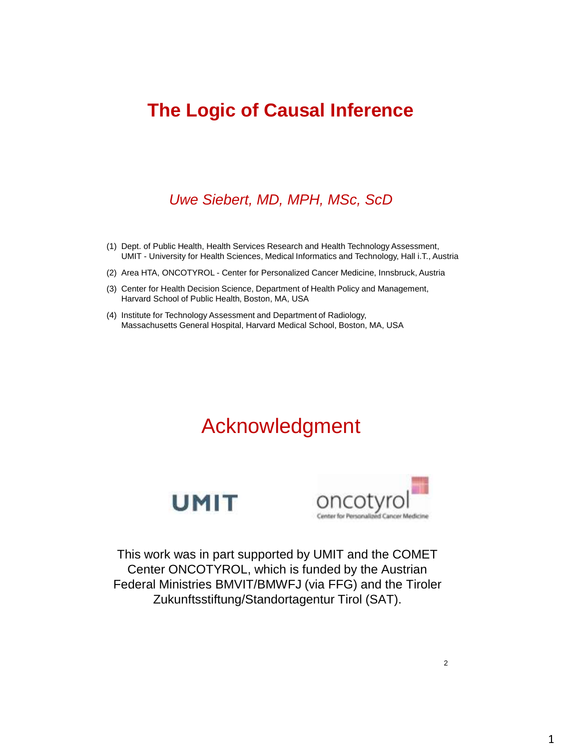#### **The Logic of Causal Inference**

#### *Uwe Siebert, MD, MPH, MSc, ScD*

- (1) Dept. of Public Health, Health Services Research and Health Technology Assessment, UMIT - University for Health Sciences, Medical Informatics and Technology, Hall i.T., Austria
- (2) Area HTA, ONCOTYROL Center for Personalized Cancer Medicine, Innsbruck, Austria
- (3) Center for Health Decision Science, Department of Health Policy and Management, Harvard School of Public Health, Boston, MA, USA
- (4) Institute for Technology Assessment and Department of Radiology, Massachusetts General Hospital, Harvard Medical School, Boston, MA, USA

#### Acknowledgment





This work was in part supported by UMIT and the COMET Center ONCOTYROL, which is funded by the Austrian Federal Ministries BMVIT/BMWFJ (via FFG) and the Tiroler Zukunftsstiftung/Standortagentur Tirol (SAT).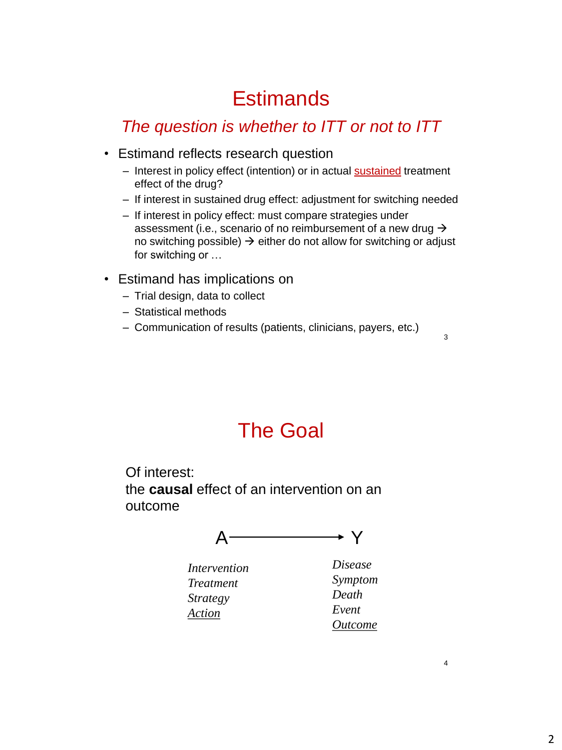## **Estimands**

#### *The question is whether to ITT or not to ITT*

- Estimand reflects research question
	- Interest in policy effect (intention) or in actual sustained treatment effect of the drug?
	- If interest in sustained drug effect: adjustment for switching needed
	- If interest in policy effect: must compare strategies under assessment (i.e., scenario of no reimbursement of a new drug  $\rightarrow$ no switching possible)  $\rightarrow$  either do not allow for switching or adjust for switching or …
- Estimand has implications on
	- Trial design, data to collect
	- Statistical methods
	- Communication of results (patients, clinicians, payers, etc.)

3

## The Goal

Of interest: the **causal** effect of an intervention on an outcome



*Intervention Treatment Strategy Action*

*Disease Symptom Death Event Outcome*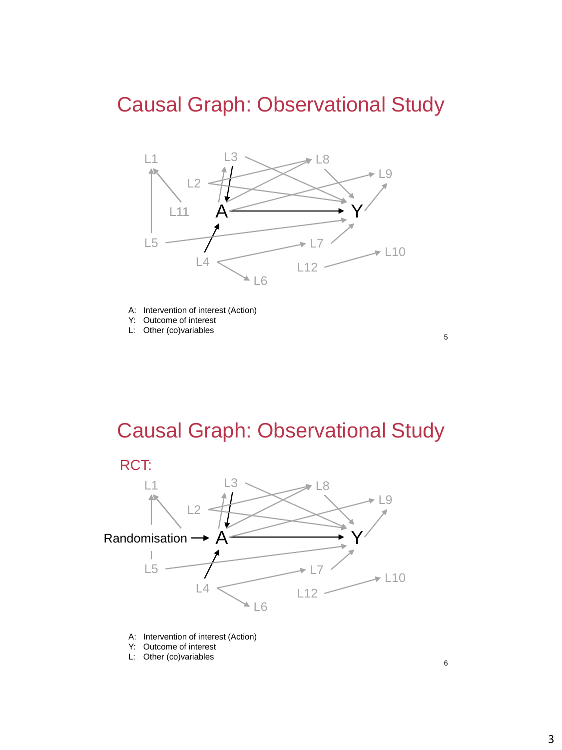### Causal Graph: Observational Study



A: Intervention of interest (Action)

- Y: Outcome of interest
- L: Other (co)variables

## Causal Graph: Observational Study



- A: Intervention of interest (Action)
- Y: Outcome of interest
- L: Other (co)variables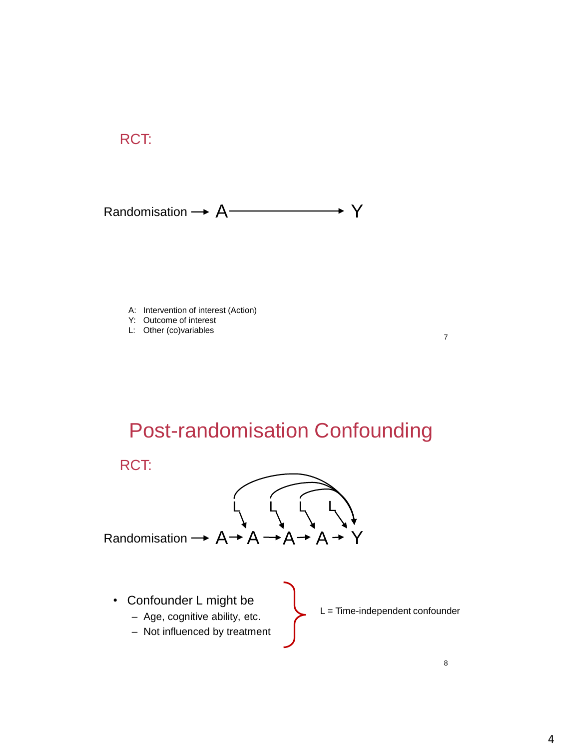#### RCT:

#### Randomisation  $\rightarrow A$   $\rightarrow$  Y

A: Intervention of interest (Action)

- Y: Outcome of interest
- L: Other (co)variables

## Post-randomisation Confounding

RCT:



- Confounder L might be
	- Age, cognitive ability, etc.
	- Not influenced by treatment
- L = Time-independent confounder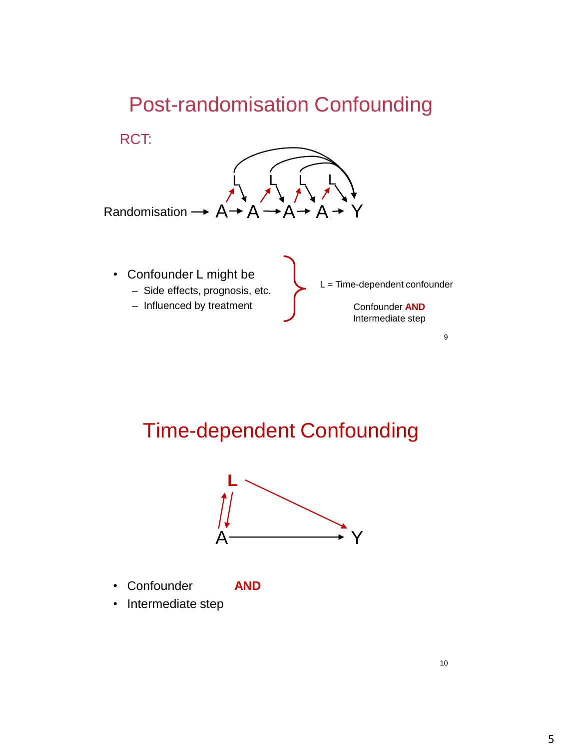## Post-randomisation Confounding



– Influenced by treatment

Confounder **AND** Intermediate step

9

### Time-dependent Confounding



- Confounder **AND**
- Intermediate step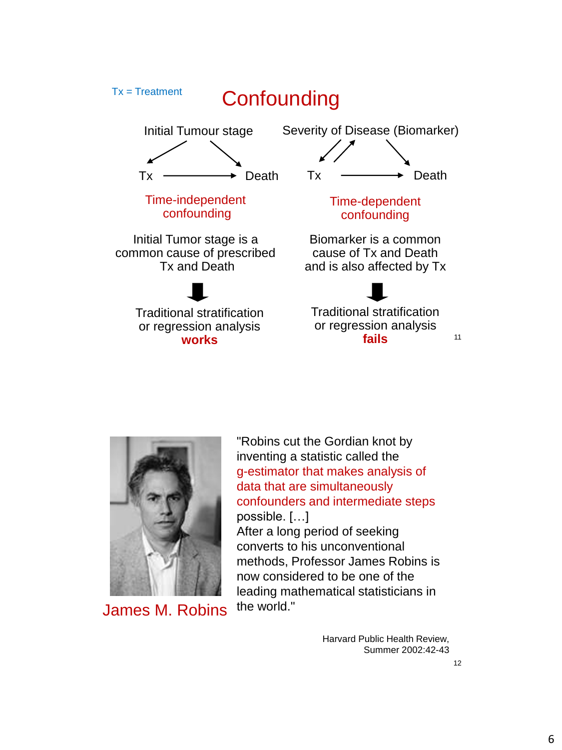



James M. Robins

"Robins cut the Gordian knot by inventing a statistic called the g-estimator that makes analysis of data that are simultaneously confounders and intermediate steps possible. […]

After a long period of seeking converts to his unconventional methods, Professor James Robins is now considered to be one of the leading mathematical statisticians in the world."

> Harvard Public Health Review, Summer 2002:42-43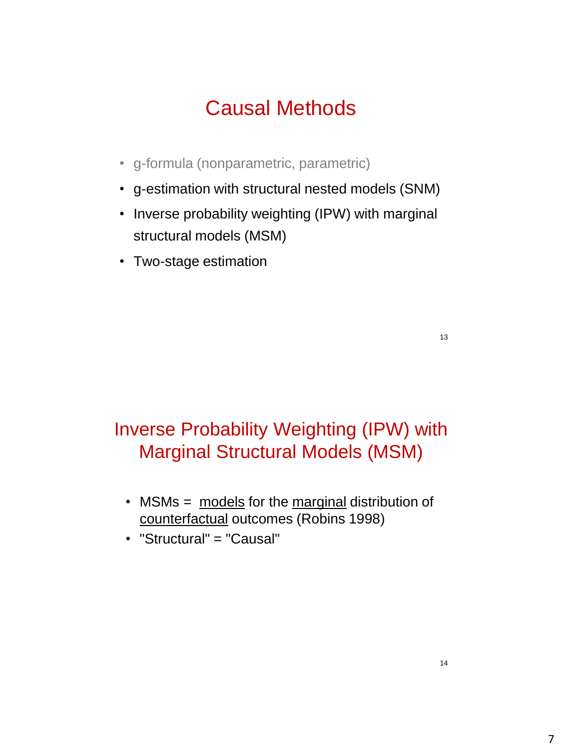# Causal Methods

- g-formula (nonparametric, parametric)
- g-estimation with structural nested models (SNM)
- Inverse probability weighting (IPW) with marginal structural models (MSM)
- Two-stage estimation

13

#### Inverse Probability Weighting (IPW) with Marginal Structural Models (MSM)

- MSMs = models for the marginal distribution of counterfactual outcomes (Robins 1998)
- "Structural" = "Causal"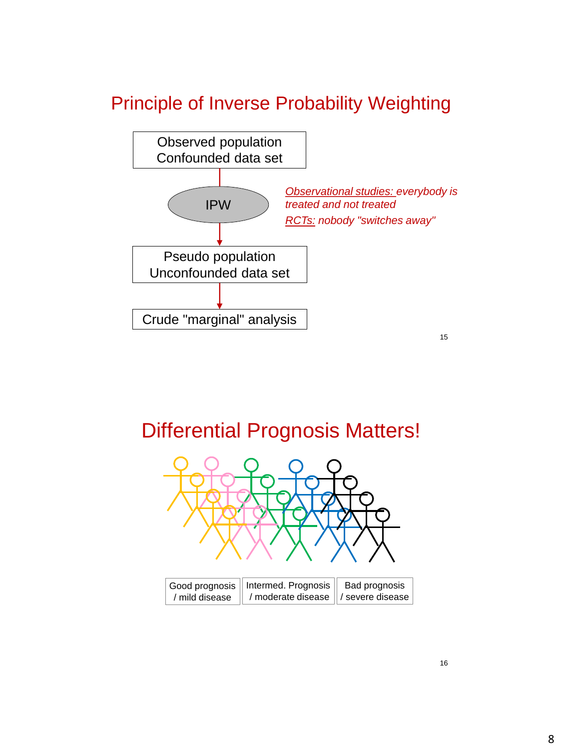#### Principle of Inverse Probability Weighting



#### Differential Prognosis Matters!



| Good prognosis    Intermed. Prognosis    Bad prognosis |  |
|--------------------------------------------------------|--|
| / mild disease   / moderate disease   / severe disease |  |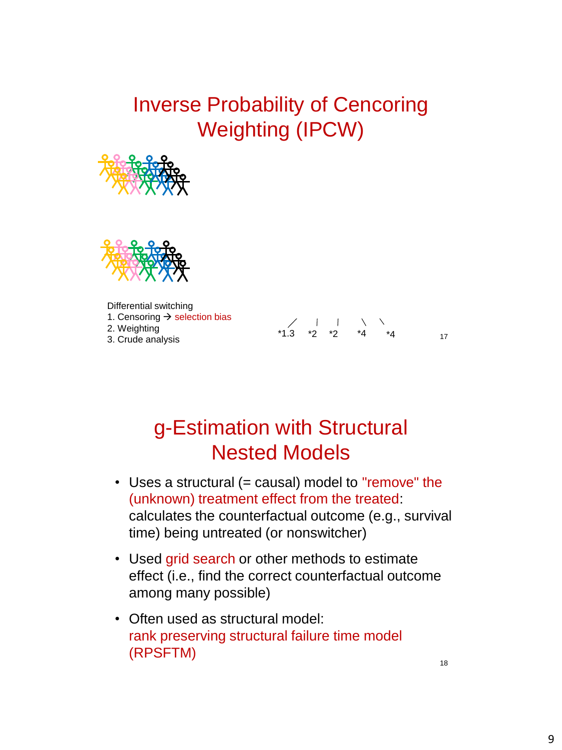## Inverse Probability of Cencoring Weighting (IPCW)





Differential switching 1. Censoring  $\rightarrow$  selection bias 2. Weighting 3. Crude analysis



### g-Estimation with Structural Nested Models

- Uses a structural (= causal) model to "remove" the (unknown) treatment effect from the treated: calculates the counterfactual outcome (e.g., survival time) being untreated (or nonswitcher)
- Used grid search or other methods to estimate effect (i.e., find the correct counterfactual outcome among many possible)
- Often used as structural model: rank preserving structural failure time model (RPSFTM)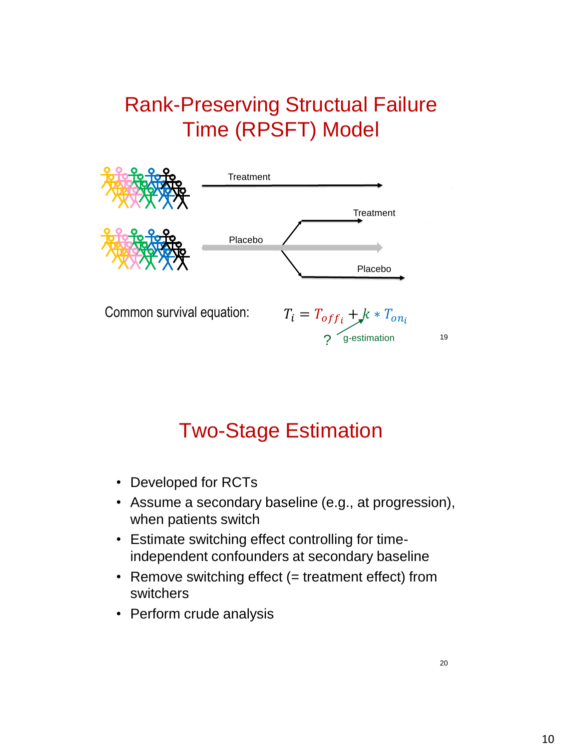# Rank-Preserving Structual Failure Time (RPSFT) Model



## Two-Stage Estimation

- Developed for RCTs
- Assume a secondary baseline (e.g., at progression), when patients switch
- Estimate switching effect controlling for timeindependent confounders at secondary baseline
- Remove switching effect (= treatment effect) from switchers
- Perform crude analysis